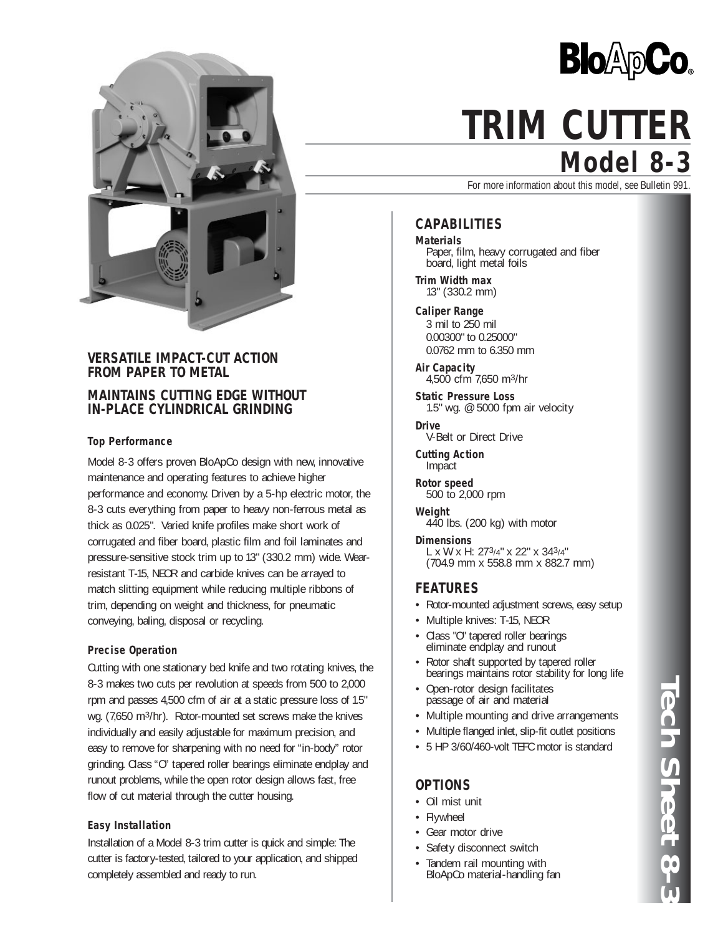

# **VERSATILE IMPACT-CUT ACTION FROM PAPER TO METAL**

# **MAINTAINS CUTTING EDGE WITHOUT IN-PLACE CYLINDRICAL GRINDING**

### **Top Performance**

Model 8-3 offers proven BloApCo design with new, innovative maintenance and operating features to achieve higher performance and economy. Driven by a 5-hp electric motor, the 8-3 cuts everything from paper to heavy non-ferrous metal as thick as 0.025". Varied knife profiles make short work of corrugated and fiber board, plastic film and foil laminates and pressure-sensitive stock trim up to 13" (330.2 mm) wide. Wearresistant T-15, NEOR and carbide knives can be arrayed to match slitting equipment while reducing multiple ribbons of trim, depending on weight and thickness, for pneumatic conveying, baling, disposal or recycling.

### **Precise Operation**

Cutting with one stationary bed knife and two rotating knives, the 8-3 makes two cuts per revolution at speeds from 500 to 2,000 rpm and passes 4,500 cfm of air at a static pressure loss of 1.5" wg. (7,650 m3/hr). Rotor-mounted set screws make the knives individually and easily adjustable for maximum precision, and easy to remove for sharpening with no need for "in-body" rotor grinding. Class "O" tapered roller bearings eliminate endplay and runout problems, while the open rotor design allows fast, free flow of cut material through the cutter housing.

### **Easy Installation**

Installation of a Model 8-3 trim cutter is quick and simple: The cutter is factory-tested, tailored to your application, and shipped completely assembled and ready to run.



# **Model 8-3 TRIM CUTTER**

For more information about this model, see Bulletin 991.

# **CAPABILITIES**

**Materials** Paper, film, heavy corrugated and fiber board, light metal foils

**Trim Width max** 13" (330.2 mm)

**Caliper Range** 3 mil to 250 mil 0.00300" to 0.25000" 0.0762 mm to 6.350 mm

**Air Capacity** 4,500 cfm 7,650 m3/hr

**Static Pressure Loss** 1.5" wg. @ 5000 fpm air velocity

**Drive** V-Belt or Direct Drive

**Cutting Action** Impact

**Rotor speed** 500 to 2,000 rpm

**Weight** 440 lbs. (200 kg) with motor

**Dimensions** L x W x H: 273/4" x 22" x 343/4" (704.9 mm x 558.8 mm x 882.7 mm)

### **FEATURES**

- Rotor-mounted adjustment screws, easy setup
- Multiple knives: T-15, NEOR
- Class "O" tapered roller bearings eliminate endplay and runout
- Rotor shaft supported by tapered roller bearings maintains rotor stability for long life
- Open-rotor design facilitates passage of air and material
- Multiple mounting and drive arrangements
- Multiple flanged inlet, slip-fit outlet positions
- 5 HP 3/60/460-volt TEFC motor is standard

### **OPTIONS**

- Oil mist unit
- Flywheel
- Gear motor drive
- Safety disconnect switch
- Tandem rail mounting with BloApCo material-handling fan